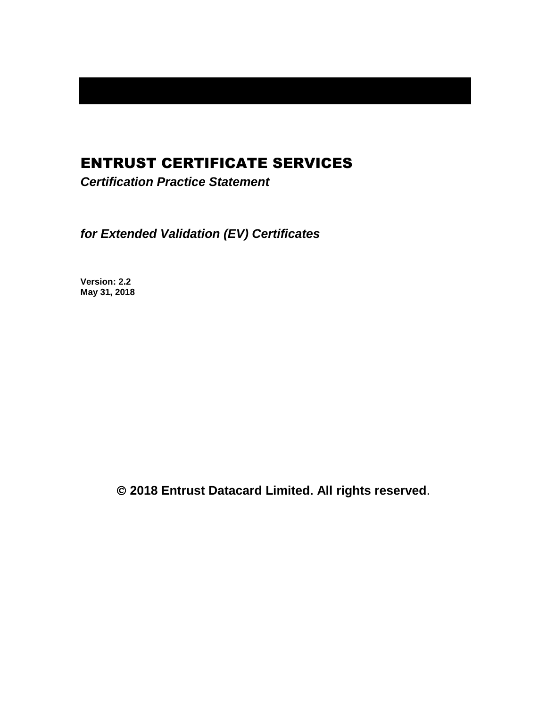## ENTRUST CERTIFICATE SERVICES

*Certification Practice Statement*

*for Extended Validation (EV) Certificates*

**Version: 2.2 May 31, 2018**

**2018 Entrust Datacard Limited. All rights reserved**.